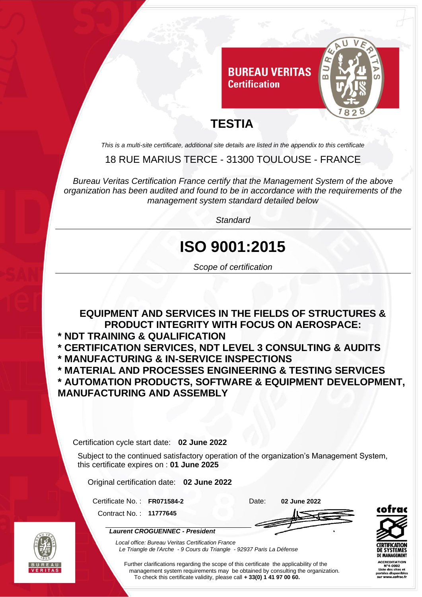

## **TESTIA**

*This is a multi-site certificate, additional site details are listed in the appendix to this certificate*

#### 18 RUE MARIUS TERCE - 31300 TOULOUSE - FRANCE

*Bureau Veritas Certification France certify that the Management System of the above organization has been audited and found to be in accordance with the requirements of the management system standard detailed below*

*Standard*

# **ISO 9001:2015**

*Scope of certification*

#### **EQUIPMENT AND SERVICES IN THE FIELDS OF STRUCTURES & PRODUCT INTEGRITY WITH FOCUS ON AEROSPACE:**

- **\* NDT TRAINING & QUALIFICATION**
- **\* CERTIFICATION SERVICES, NDT LEVEL 3 CONSULTING & AUDITS \* MANUFACTURING & IN-SERVICE INSPECTIONS**

**\* MATERIAL AND PROCESSES ENGINEERING & TESTING SERVICES**

**\* AUTOMATION PRODUCTS, SOFTWARE & EQUIPMENT DEVELOPMENT, MANUFACTURING AND ASSEMBLY**

Certification cycle start date: **02 June 2022**

Subject to the continued satisfactory operation of the organization's Management System, this certificate expires on : **01 June 2025**

Original certification date: **02 June 2022**

*Laurent CROGUENNEC - President*

Certificate No. : **FR071584-2** Date: **02 June 2022**

Contract No. : **11777645**



**ACCREDITATION** 

*Local office: Bureau Veritas Certification France Le Triangle de l'Arche - 9 Cours du Triangle - 92937 Paris La Défense*

Further clarifications regarding the scope of this certificate the applicability of the management system requirements may be obtained by consulting the organization. To check this certificate validity, please call **+ 33(0) 1 41 97 00 60.**

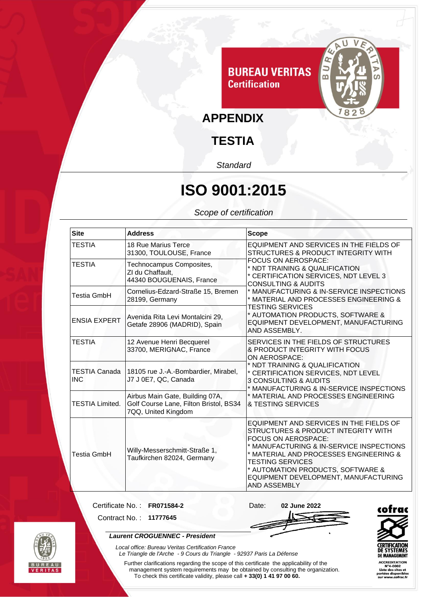

## **TESTIA**

*Standard*

# **ISO 9001:2015**

*Scope of certification*

| <b>Site</b>                 | <b>Address</b>                                                                                   | <b>Scope</b>                                                                                                                                                                                                                                                                                                                                                                                                                      |
|-----------------------------|--------------------------------------------------------------------------------------------------|-----------------------------------------------------------------------------------------------------------------------------------------------------------------------------------------------------------------------------------------------------------------------------------------------------------------------------------------------------------------------------------------------------------------------------------|
| TESTIA                      | 18 Rue Marius Terce<br>31300, TOULOUSE, France                                                   | EQUIPMENT AND SERVICES IN THE FIELDS OF<br>STRUCTURES & PRODUCT INTEGRITY WITH<br>FOCUS ON AEROSPACE:<br>* NDT TRAINING & QUALIFICATION<br>* CERTIFICATION SERVICES, NDT LEVEL 3<br><b>CONSULTING &amp; AUDITS</b><br>* MANUFACTURING & IN-SERVICE INSPECTIONS<br>* MATERIAL AND PROCESSES ENGINEERING &<br><b>TESTING SERVICES</b><br>* AUTOMATION PRODUCTS, SOFTWARE &<br>EQUIPMENT DEVELOPMENT, MANUFACTURING<br>AND ASSEMBLY. |
| TESTIA                      | Technocampus Composites,<br>ZI du Chaffault,<br>44340 BOUGUENAIS, France                         |                                                                                                                                                                                                                                                                                                                                                                                                                                   |
| <b>Testia GmbH</b>          | Cornelius-Edzard-Straße 15, Bremen<br>28199, Germany                                             |                                                                                                                                                                                                                                                                                                                                                                                                                                   |
| <b>ENSIA EXPERT</b>         | Avenida Rita Levi Montalcini 29,<br>Getafe 28906 (MADRID), Spain                                 |                                                                                                                                                                                                                                                                                                                                                                                                                                   |
| <b>TESTIA</b>               | 12 Avenue Henri Becquerel<br>33700, MERIGNAC, France                                             | SERVICES IN THE FIELDS OF STRUCTURES<br>& PRODUCT INTEGRITY WITH FOCUS<br>ON AEROSPACE:<br>* NDT TRAINING & QUALIFICATION<br>* CERTIFICATION SERVICES, NDT LEVEL<br>3 CONSULTING & AUDITS<br>* MANUFACTURING & IN-SERVICE INSPECTIONS<br>* MATERIAL AND PROCESSES ENGINEERING<br>& TESTING SERVICES                                                                                                                               |
| TESTIA Canada<br><b>INC</b> | 18105 rue J.-A.-Bombardier, Mirabel,<br>J7 J 0E7, QC, Canada                                     |                                                                                                                                                                                                                                                                                                                                                                                                                                   |
| <b>TESTIA Limited.</b>      | Airbus Main Gate, Building 07A,<br>Golf Course Lane, Filton Bristol, BS34<br>7QQ, United Kingdom |                                                                                                                                                                                                                                                                                                                                                                                                                                   |
| <b>Testia GmbH</b>          | Willy-Messerschmitt-Straße 1,<br>Taufkirchen 82024, Germany                                      | EQUIPMENT AND SERVICES IN THE FIELDS OF<br>STRUCTURES & PRODUCT INTEGRITY WITH<br>FOCUS ON AEROSPACE:<br>* MANUFACTURING & IN-SERVICE INSPECTIONS<br>* MATERIAL AND PROCESSES ENGINEERING &<br><b>TESTING SERVICES</b><br>* AUTOMATION PRODUCTS, SOFTWARE &<br>EQUIPMENT DEVELOPMENT, MANUFACTURING<br>AND ASSEMBLY                                                                                                               |

Certificate No. : **FR071584-2** Date: **02 June 2022**

Contract No. : **11777645**

#### *Laurent CROGUENNEC - President*

*Local office: Bureau Veritas Certification France*





ACCREDITATION<br>N°4-0002<br>Liste des sites et<br>portées disponible<br>sur www.cofrac.fi

*Le Triangle de l'Arche - 9 Cours du Triangle - 92937 Paris La Défense*  Further clarifications regarding the scope of this certificate the applicability of the management system requirements may be obtained by consulting the organization. To check this certificate validity, please call **+ 33(0) 1 41 97 00 60.**